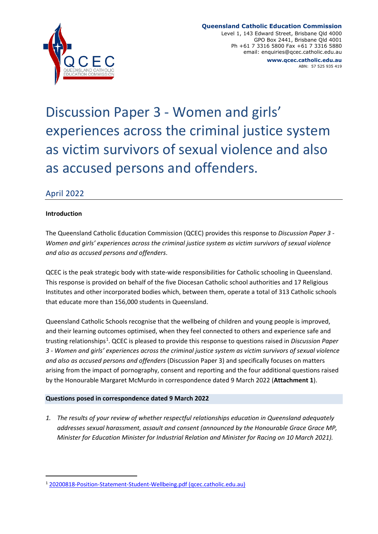

#### **Queensland Catholic Education Commission**

Level 1, 143 Edward Street, Brisbane Qld 4000 GPO Box 2441, Brisbane Qld 4001 Ph +61 7 3316 5800 Fax +61 7 3316 5880 email: enquiries@qcec.catholic.edu.au **www.qcec.catholic.edu.au**

ABN: 57 525 935 419

Discussion Paper 3 - Women and girls' experiences across the criminal justice system as victim survivors of sexual violence and also as accused persons and offenders.

# April 2022

#### **Introduction**

The Queensland Catholic Education Commission (QCEC) provides this response to *Discussion Paper 3 - Women and girls' experiences across the criminal justice system as victim survivors of sexual violence and also as accused persons and offenders*.

QCEC is the peak strategic body with state-wide responsibilities for Catholic schooling in Queensland. This response is provided on behalf of the five Diocesan Catholic school authorities and 17 Religious Institutes and other incorporated bodies which, between them, operate a total of 313 Catholic schools that educate more than 156,000 students in Queensland.

Queensland Catholic Schools recognise that the wellbeing of children and young people is improved, and their learning outcomes optimised, when they feel connected to others and experience safe and trusting relationships<sup>1</sup>. QCEC is pleased to provide this response to questions raised in *Discussion Paper 3 - Women and girls' experiences across the criminal justice system as victim survivors of sexual violence and also as accused persons and offenders* (Discussion Paper 3) and specifically focuses on matters arising from the impact of pornography, consent and reporting and the four additional questions raised by the Honourable Margaret McMurdo in correspondence dated 9 March 2022 (**Attachment 1**).

#### **Questions posed in correspondence dated 9 March 2022**

*1. The results of your review of whether respectful relationships education in Queensland adequately addresses sexual harassment, assault and consent (announced by the Honourable Grace Grace MP, Minister for Education Minister for Industrial Relation and Minister for Racing on 10 March 2021).* 

<sup>1</sup> 20200818-Position-Statement-Student-Wellbeing.pdf (qcec.catholic.edu.au)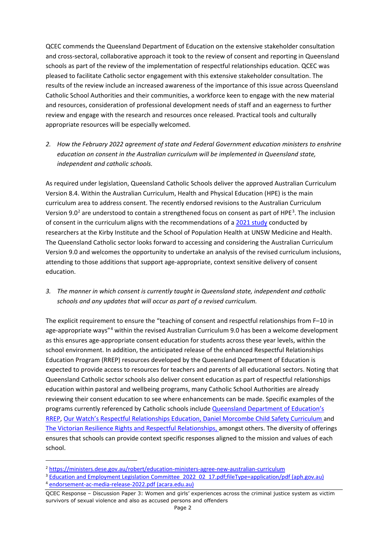QCEC commends the Queensland Department of Education on the extensive stakeholder consultation and cross-sectoral, collaborative approach it took to the review of consent and reporting in Queensland schools as part of the review of the implementation of respectful relationships education. QCEC was pleased to facilitate Catholic sector engagement with this extensive stakeholder consultation. The results of the review include an increased awareness of the importance of this issue across Queensland Catholic School Authorities and their communities, a workforce keen to engage with the new material and resources, consideration of professional development needs of staff and an eagerness to further review and engage with the research and resources once released. Practical tools and culturally appropriate resources will be especially welcomed.

*2. How the February 2022 agreement of state and Federal Government education ministers to enshrine education on consent in the Australian curriculum will be implemented in Queensland state, independent and catholic schools.* 

As required under legislation, Queensland Catholic Schools deliver the approved Australian Curriculum Version 8.4. Within the Australian Curriculum, Health and Physical Education (HPE) is the main curriculum area to address consent. The recently endorsed revisions to the Australian Curriculum Version 9.0<sup>2</sup> are understood to contain a strengthened focus on consent as part of HPE<sup>3</sup>. The inclusion of consent in the curriculum aligns with the recommendations of a 2021 study conducted by researchers at the Kirby Institute and the School of Population Health at UNSW Medicine and Health. The Queensland Catholic sector looks forward to accessing and considering the Australian Curriculum Version 9.0 and welcomes the opportunity to undertake an analysis of the revised curriculum inclusions, attending to those additions that support age-appropriate, context sensitive delivery of consent education.

*3. The manner in which consent is currently taught in Queensland state, independent and catholic schools and any updates that will occur as part of a revised curriculum.* 

The explicit requirement to ensure the "teaching of consent and respectful relationships from F–10 in age-appropriate ways"<sup>4</sup> within the revised Australian Curriculum 9.0 has been a welcome development as this ensures age-appropriate consent education for students across these year levels, within the school environment. In addition, the anticipated release of the enhanced Respectful Relationships Education Program (RREP) resources developed by the Queensland Department of Education is expected to provide access to resources for teachers and parents of all educational sectors. Noting that Queensland Catholic sector schools also deliver consent education as part of respectful relationships education within pastoral and wellbeing programs, many Catholic School Authorities are already reviewing their consent education to see where enhancements can be made. Specific examples of the programs currently referenced by Catholic schools include Queensland Department of Education's RREP, Our Watch's Respectful Relationships Education, Daniel Morcombe Child Safety Curriculum and The Victorian Resilience Rights and Respectful Relationships, amongst others. The diversity of offerings ensures that schools can provide context specific responses aligned to the mission and values of each school.

<sup>2</sup> https://ministers.dese.gov.au/robert/education-ministers-agree-new-australian-curriculum

<sup>&</sup>lt;sup>3</sup> Education and Employment Legislation Committee 2022 02 17.pdf;fileType=application/pdf (aph.gov.au) <sup>4</sup> endorsement-ac-media-release-2022.pdf (acara.edu.au)

QCEC Response – Discussion Paper 3: Women and girls' experiences across the criminal justice system as victim survivors of sexual violence and also as accused persons and offenders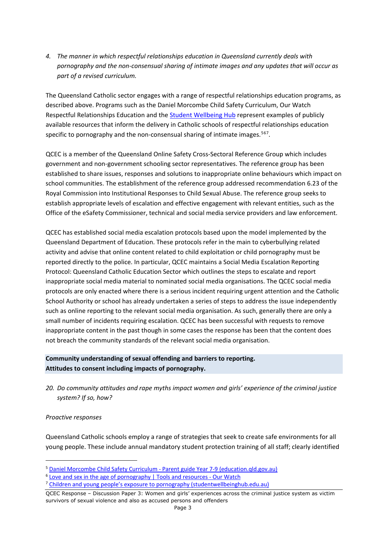*4. The manner in which respectful relationships education in Queensland currently deals with pornography and the non-consensual sharing of intimate images and any updates that will occur as part of a revised curriculum.* 

The Queensland Catholic sector engages with a range of respectful relationships education programs, as described above. Programs such as the Daniel Morcombe Child Safety Curriculum, Our Watch Respectful Relationships Education and the Student Wellbeing Hub represent examples of publicly available resources that inform the delivery in Catholic schools of respectful relationships education specific to pornography and the non-consensual sharing of intimate images.<sup>567</sup>.

QCEC is a member of the Queensland Online Safety Cross-Sectoral Reference Group which includes government and non-government schooling sector representatives. The reference group has been established to share issues, responses and solutions to inappropriate online behaviours which impact on school communities. The establishment of the reference group addressed recommendation 6.23 of the Royal Commission into Institutional Responses to Child Sexual Abuse. The reference group seeks to establish appropriate levels of escalation and effective engagement with relevant entities, such as the Office of the eSafety Commissioner, technical and social media service providers and law enforcement.

QCEC has established social media escalation protocols based upon the model implemented by the Queensland Department of Education. These protocols refer in the main to cyberbullying related activity and advise that online content related to child exploitation or child pornography must be reported directly to the police. In particular, QCEC maintains a Social Media Escalation Reporting Protocol: Queensland Catholic Education Sector which outlines the steps to escalate and report inappropriate social media material to nominated social media organisations. The QCEC social media protocols are only enacted where there is a serious incident requiring urgent attention and the Catholic School Authority or school has already undertaken a series of steps to address the issue independently such as online reporting to the relevant social media organisation. As such, generally there are only a small number of incidents requiring escalation. QCEC has been successful with requests to remove inappropriate content in the past though in some cases the response has been that the content does not breach the community standards of the relevant social media organisation.

### **Community understanding of sexual offending and barriers to reporting. Attitudes to consent including impacts of pornography.**

*20. Do community attitudes and rape myths impact women and girls' experience of the criminal justice system? If so, how?* 

#### *Proactive responses*

Queensland Catholic schools employ a range of strategies that seek to create safe environments for all young people. These include annual mandatory student protection training of all staff; clearly identified

<sup>&</sup>lt;sup>5</sup> Daniel Morcombe Child Safety Curriculum - Parent guide Year 7-9 (education.qld.gov.au)

<sup>&</sup>lt;sup>6</sup> Love and sex in the age of pornography | Tools and resources - Our Watch

<sup>7</sup> Children and young people's exposure to pornography (studentwellbeinghub.edu.au)

QCEC Response – Discussion Paper 3: Women and girls' experiences across the criminal justice system as victim survivors of sexual violence and also as accused persons and offenders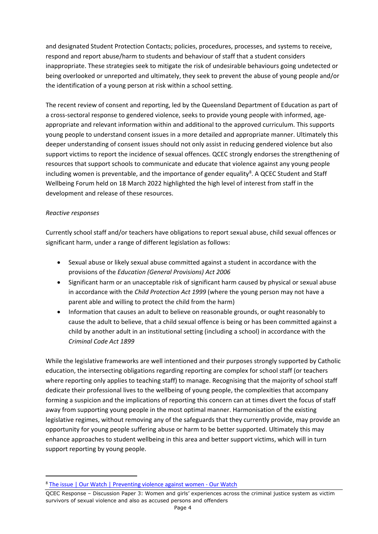and designated Student Protection Contacts; policies, procedures, processes, and systems to receive, respond and report abuse/harm to students and behaviour of staff that a student considers inappropriate. These strategies seek to mitigate the risk of undesirable behaviours going undetected or being overlooked or unreported and ultimately, they seek to prevent the abuse of young people and/or the identification of a young person at risk within a school setting.

The recent review of consent and reporting, led by the Queensland Department of Education as part of a cross-sectoral response to gendered violence, seeks to provide young people with informed, ageappropriate and relevant information within and additional to the approved curriculum. This supports young people to understand consent issues in a more detailed and appropriate manner. Ultimately this deeper understanding of consent issues should not only assist in reducing gendered violence but also support victims to report the incidence of sexual offences. QCEC strongly endorses the strengthening of resources that support schools to communicate and educate that violence against any young people including women is preventable, and the importance of gender equality<sup>8</sup>. A QCEC Student and Staff Wellbeing Forum held on 18 March 2022 highlighted the high level of interest from staff in the development and release of these resources.

### *Reactive responses*

Currently school staff and/or teachers have obligations to report sexual abuse, child sexual offences or significant harm, under a range of different legislation as follows:

- Sexual abuse or likely sexual abuse committed against a student in accordance with the provisions of the *Education (General Provisions) Act 2006*
- Significant harm or an unacceptable risk of significant harm caused by physical or sexual abuse in accordance with the *Child Protection Act 1999* (where the young person may not have a parent able and willing to protect the child from the harm)
- Information that causes an adult to believe on reasonable grounds, or ought reasonably to cause the adult to believe, that a child sexual offence is being or has been committed against a child by another adult in an institutional setting (including a school) in accordance with the *Criminal Code Act 1899*

While the legislative frameworks are well intentioned and their purposes strongly supported by Catholic education, the intersecting obligations regarding reporting are complex for school staff (or teachers where reporting only applies to teaching staff) to manage. Recognising that the majority of school staff dedicate their professional lives to the wellbeing of young people, the complexities that accompany forming a suspicion and the implications of reporting this concern can at times divert the focus of staff away from supporting young people in the most optimal manner. Harmonisation of the existing legislative regimes, without removing any of the safeguards that they currently provide, may provide an opportunity for young people suffering abuse or harm to be better supported. Ultimately this may enhance approaches to student wellbeing in this area and better support victims, which will in turn support reporting by young people.

<sup>&</sup>lt;sup>8</sup> The issue | Our Watch | Preventing violence against women - Our Watch

QCEC Response – Discussion Paper 3: Women and girls' experiences across the criminal justice system as victim survivors of sexual violence and also as accused persons and offenders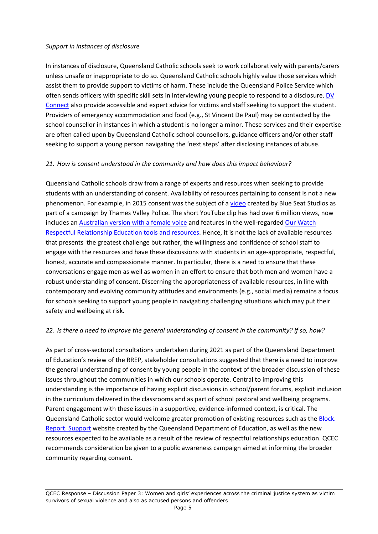#### *Support in instances of disclosure*

In instances of disclosure, Queensland Catholic schools seek to work collaboratively with parents/carers unless unsafe or inappropriate to do so. Queensland Catholic schools highly value those services which assist them to provide support to victims of harm. These include the Queensland Police Service which often sends officers with specific skill sets in interviewing young people to respond to a disclosure. DV Connect also provide accessible and expert advice for victims and staff seeking to support the student. Providers of emergency accommodation and food (e.g., St Vincent De Paul) may be contacted by the school counsellor in instances in which a student is no longer a minor. These services and their expertise are often called upon by Queensland Catholic school counsellors, guidance officers and/or other staff seeking to support a young person navigating the 'next steps' after disclosing instances of abuse.

### *21. How is consent understood in the community and how does this impact behaviour?*

Queensland Catholic schools draw from a range of experts and resources when seeking to provide students with an understanding of consent. Availability of resources pertaining to consent is not a new phenomenon. For example, in 2015 consent was the subject of a video created by Blue Seat Studios as part of a campaign by Thames Valley Police. The short YouTube clip has had over 6 million views, now includes an Australian version with a female voice and features in the well-regarded Our Watch Respectful Relationship Education tools and resources. Hence, it is not the lack of available resources that presents the greatest challenge but rather, the willingness and confidence of school staff to engage with the resources and have these discussions with students in an age-appropriate, respectful, honest, accurate and compassionate manner. In particular, there is a need to ensure that these conversations engage men as well as women in an effort to ensure that both men and women have a robust understanding of consent. Discerning the appropriateness of available resources, in line with contemporary and evolving community attitudes and environments (e.g., social media) remains a focus for schools seeking to support young people in navigating challenging situations which may put their safety and wellbeing at risk.

### *22. Is there a need to improve the general understanding of consent in the community? If so, how?*

As part of cross-sectoral consultations undertaken during 2021 as part of the Queensland Department of Education's review of the RREP, stakeholder consultations suggested that there is a need to improve the general understanding of consent by young people in the context of the broader discussion of these issues throughout the communities in which our schools operate. Central to improving this understanding is the importance of having explicit discussions in school/parent forums, explicit inclusion in the curriculum delivered in the classrooms and as part of school pastoral and wellbeing programs. Parent engagement with these issues in a supportive, evidence-informed context, is critical. The Queensland Catholic sector would welcome greater promotion of existing resources such as the Block. Report. Support website created by the Queensland Department of Education, as well as the new resources expected to be available as a result of the review of respectful relationships education. QCEC recommends consideration be given to a public awareness campaign aimed at informing the broader community regarding consent.

QCEC Response – Discussion Paper 3: Women and girls' experiences across the criminal justice system as victim survivors of sexual violence and also as accused persons and offenders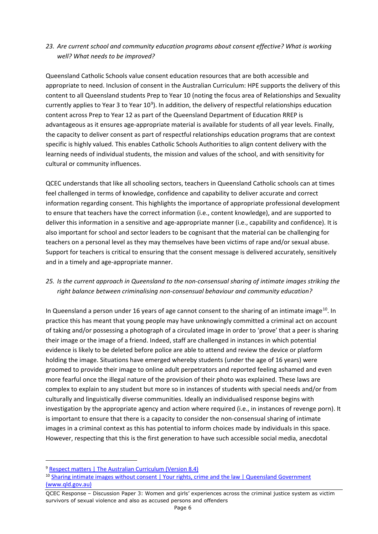### *23. Are current school and community education programs about consent effective? What is working well? What needs to be improved?*

Queensland Catholic Schools value consent education resources that are both accessible and appropriate to need. Inclusion of consent in the Australian Curriculum: HPE supports the delivery of this content to all Queensland students Prep to Year 10 (noting the focus area of Relationships and Sexuality currently applies to Year 3 to Year  $10^9$ ). In addition, the delivery of respectful relationships education content across Prep to Year 12 as part of the Queensland Department of Education RREP is advantageous as it ensures age-appropriate material is available for students of all year levels. Finally, the capacity to deliver consent as part of respectful relationships education programs that are context specific is highly valued. This enables Catholic Schools Authorities to align content delivery with the learning needs of individual students, the mission and values of the school, and with sensitivity for cultural or community influences.

QCEC understands that like all schooling sectors, teachers in Queensland Catholic schools can at times feel challenged in terms of knowledge, confidence and capability to deliver accurate and correct information regarding consent. This highlights the importance of appropriate professional development to ensure that teachers have the correct information (i.e., content knowledge), and are supported to deliver this information in a sensitive and age-appropriate manner (i.e., capability and confidence). It is also important for school and sector leaders to be cognisant that the material can be challenging for teachers on a personal level as they may themselves have been victims of rape and/or sexual abuse. Support for teachers is critical to ensuring that the consent message is delivered accurately, sensitively and in a timely and age-appropriate manner.

### *25. Is the current approach in Queensland to the non-consensual sharing of intimate images striking the right balance between criminalising non-consensual behaviour and community education?*

In Queensland a person under 16 years of age cannot consent to the sharing of an intimate image<sup>10</sup>. In practice this has meant that young people may have unknowingly committed a criminal act on account of taking and/or possessing a photograph of a circulated image in order to 'prove' that a peer is sharing their image or the image of a friend. Indeed, staff are challenged in instances in which potential evidence is likely to be deleted before police are able to attend and review the device or platform holding the image. Situations have emerged whereby students (under the age of 16 years) were groomed to provide their image to online adult perpetrators and reported feeling ashamed and even more fearful once the illegal nature of the provision of their photo was explained. These laws are complex to explain to any student but more so in instances of students with special needs and/or from culturally and linguistically diverse communities. Ideally an individualised response begins with investigation by the appropriate agency and action where required (i.e., in instances of revenge porn). It is important to ensure that there is a capacity to consider the non-consensual sharing of intimate images in a criminal context as this has potential to inform choices made by individuals in this space. However, respecting that this is the first generation to have such accessible social media, anecdotal

<sup>&</sup>lt;sup>9</sup> Respect matters | The Australian Curriculum (Version 8.4)

<sup>&</sup>lt;sup>10</sup> Sharing intimate images without consent | Your rights, crime and the law | Queensland Government (www.qld.gov.au)

QCEC Response – Discussion Paper 3: Women and girls' experiences across the criminal justice system as victim survivors of sexual violence and also as accused persons and offenders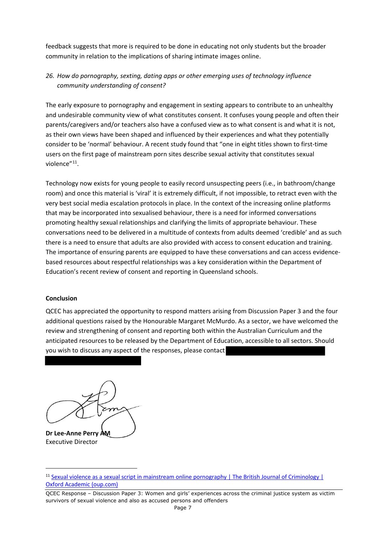feedback suggests that more is required to be done in educating not only students but the broader community in relation to the implications of sharing intimate images online.

## *26. How do pornography, sexting, dating apps or other emerging uses of technology influence community understanding of consent?*

The early exposure to pornography and engagement in sexting appears to contribute to an unhealthy and undesirable community view of what constitutes consent. It confuses young people and often their parents/caregivers and/or teachers also have a confused view as to what consent is and what it is not, as their own views have been shaped and influenced by their experiences and what they potentially consider to be 'normal' behaviour. A recent study found that "one in eight titles shown to first-time users on the first page of mainstream porn sites describe sexual activity that constitutes sexual violence"<sup>11</sup>.

Technology now exists for young people to easily record unsuspecting peers (i.e., in bathroom/change room) and once this material is 'viral' it is extremely difficult, if not impossible, to retract even with the very best social media escalation protocols in place. In the context of the increasing online platforms that may be incorporated into sexualised behaviour, there is a need for informed conversations promoting healthy sexual relationships and clarifying the limits of appropriate behaviour. These conversations need to be delivered in a multitude of contexts from adults deemed 'credible' and as such there is a need to ensure that adults are also provided with access to consent education and training. The importance of ensuring parents are equipped to have these conversations and can access evidencebased resources about respectful relationships was a key consideration within the Department of Education's recent review of consent and reporting in Queensland schools.

#### **Conclusion**

QCEC has appreciated the opportunity to respond matters arising from Discussion Paper 3 and the four additional questions raised by the Honourable Margaret McMurdo. As a sector, we have welcomed the review and strengthening of consent and reporting both within the Australian Curriculum and the anticipated resources to be released by the Department of Education, accessible to all sectors. Should you wish to discuss any aspect of the responses, please contact

**Dr Lee-Anne Perry AM** Executive Director

<sup>&</sup>lt;sup>11</sup> Sexual violence as a sexual script in mainstream online pornography | The British Journal of Criminology | Oxford Academic (oup.com)

QCEC Response – Discussion Paper 3: Women and girls' experiences across the criminal justice system as victim survivors of sexual violence and also as accused persons and offenders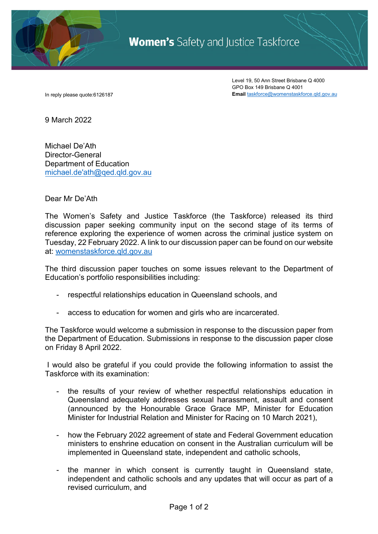

**Women's** Safety and Justice Taskforce

Level 19, 50 Ann Street Brisbane Q 4000 GPO Box 149 Brisbane Q 4001 In reply please quote:6126187 **Email** taskforce@womenstaskforce.qld.gov.au

9 March 2022

Michael De'Ath Director-General Department of Education michael.de'ath@qed.qld.gov.au

Dear Mr De'Ath

The Women's Safety and Justice Taskforce (the Taskforce) released its third discussion paper seeking community input on the second stage of its terms of reference exploring the experience of women across the criminal justice system on Tuesday, 22 February 2022. A link to our discussion paper can be found on our website at: womenstaskforce.qld.gov.au

The third discussion paper touches on some issues relevant to the Department of Education's portfolio responsibilities including:

- respectful relationships education in Queensland schools, and
- access to education for women and girls who are incarcerated.

The Taskforce would welcome a submission in response to the discussion paper from the Department of Education. Submissions in response to the discussion paper close on Friday 8 April 2022.

I would also be grateful if you could provide the following information to assist the Taskforce with its examination:

- the results of your review of whether respectful relationships education in Queensland adequately addresses sexual harassment, assault and consent (announced by the Honourable Grace Grace MP, Minister for Education Minister for Industrial Relation and Minister for Racing on 10 March 2021),
- how the February 2022 agreement of state and Federal Government education ministers to enshrine education on consent in the Australian curriculum will be implemented in Queensland state, independent and catholic schools,
- the manner in which consent is currently taught in Queensland state, independent and catholic schools and any updates that will occur as part of a revised curriculum, and